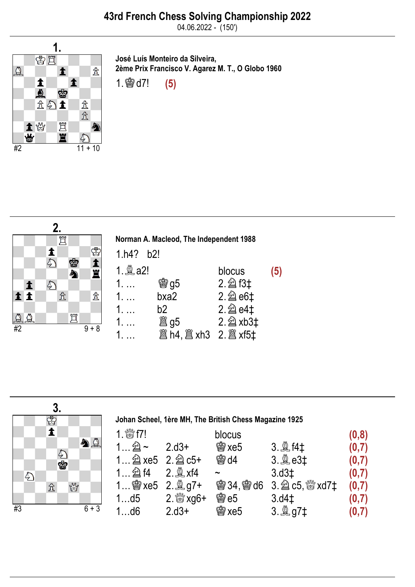04.06.2022 - (150')



José Luís Monteiro da Silveira, 2ème Prix Francisco V. Agarez M. T., O Globo 1960 1.♔d7! (5)



Norman A. Macleod, The Independent 1988 1.h4? b2! 1. $\triangleq$  a2! blocus (5) 1. … <br> **③g5** 2. @d3‡ 1. … bxa2 2. 2 e6‡ 1. … b2 2.♘e4‡ 1. … ♖g5 2.♘xb3‡ 1. … ♖h4,♖xh3 2.♖xf5‡

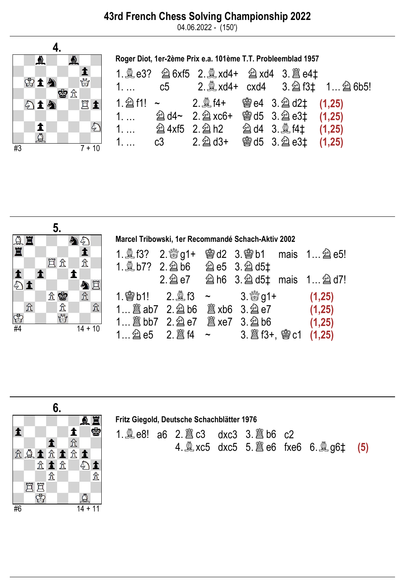## 43rd French Chess Solving Championship 2022

04.06.2022 - (150')



Roger Diot, 1er-2ème Prix e.a. 101ème T.T. Probleemblad 1957

|  |                                          |  | 1. c5 2. a xd4+ cxd4 3. a f3‡ 1. . a 6b5! |
|--|------------------------------------------|--|-------------------------------------------|
|  |                                          |  |                                           |
|  | 1.  2 d4~ 2. 2 xc6+ 彎 d5 3. 2 e3‡ (1,25) |  |                                           |
|  |                                          |  |                                           |
|  |                                          |  |                                           |



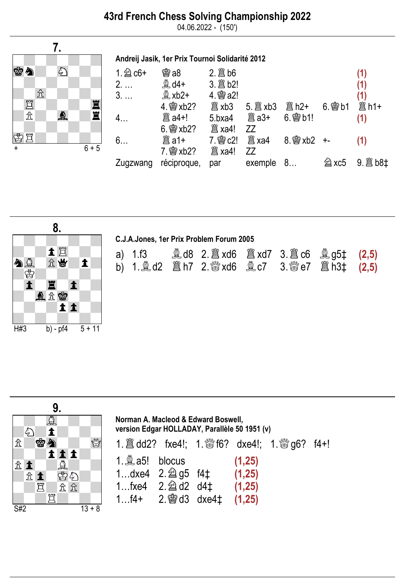04.06.2022 - (150')

Andreij Jasik, 1er Prix Tournoi Solidarité 2012



| <b>魯a8</b>        | $2.$ $\hat{\mathbb{B}}$ b6 |              |               |             | (1)                                   |
|-------------------|----------------------------|--------------|---------------|-------------|---------------------------------------|
| $\mathbb{R}$ d4+  |                            |              |               |             | (1)                                   |
| $\mathbb{R}$ xb2+ | 4. 窗a2!                    |              |               |             | (1)                                   |
| 4. 2xb2?          | 闔 xb3                      |              | 闔 h2+         | $6.$ 会 $b1$ | <b>簋h1+</b>                           |
|                   | 5.bxa4                     | <b>闔 a3+</b> | $6.$ \see b1! |             | (1)                                   |
| $6.$ @ $xb2?$     |                            | ZZ           |               |             |                                       |
| 闔 a1+             |                            | 闔 xa4        |               |             | (1)                                   |
|                   | 闔 xa4!                     | ZZ           |               |             |                                       |
| réciproque,       | par                        |              |               | U xc5       | $9.$ $\hat{\mathbb{B}}$ b8 $\ddagger$ |
|                   |                            |              |               | exemple 8   |                                       |



| C.J.A.Jones, 1er Prix Problem Forum 2005 |  |  |  |  |  |  |  |  |
|------------------------------------------|--|--|--|--|--|--|--|--|
|                                          |  |  |  |  |  |  |  |  |



| Norman A. Macleod & Edward Boswell,<br>version Edgar HOLLADAY, Parallèle 50 1951 (v)                                                                     |  |  |        |                                                                              |  |  |
|----------------------------------------------------------------------------------------------------------------------------------------------------------|--|--|--------|------------------------------------------------------------------------------|--|--|
|                                                                                                                                                          |  |  |        | 1. $\hat{\Xi}$ dd2? fxe4!; 1. $\hat{\Xi}$ f6? dxe4!; 1. $\hat{\Xi}$ g6? f4+! |  |  |
| 1. $Q$ a5! blocus<br>1dxe4 $2.\hat{2}$ g5 $f4\ddagger$ (1,25)<br>1fxe4 2. $\triangleq$ d2 d4 $\ddagger$ (1,25)<br>1 $f4+$ 2. § d3 dxe4 $\ddagger$ (1,25) |  |  | (1,25) |                                                                              |  |  |